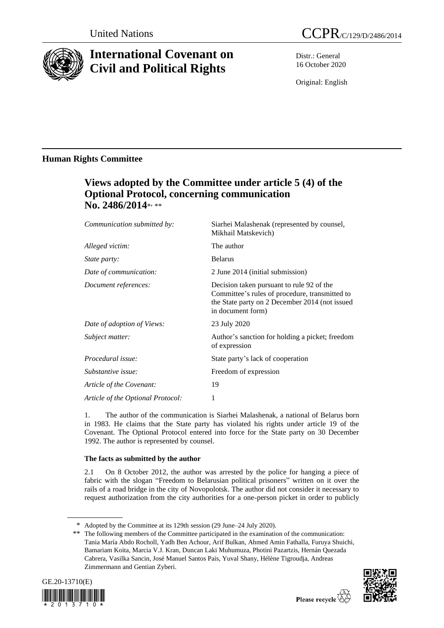

# **International Covenant on Civil and Political Rights**

Distr.: General 16 October 2020

Original: English

## **Human Rights Committee**

# **Views adopted by the Committee under article 5 (4) of the Optional Protocol, concerning communication**  No. 2486/2014\*, \*\*

| Communication submitted by:       | Siarhei Malashenak (represented by counsel,<br>Mikhail Matskevich)                                                                                                 |
|-----------------------------------|--------------------------------------------------------------------------------------------------------------------------------------------------------------------|
| Alleged victim:                   | The author                                                                                                                                                         |
| <i>State party:</i>               | <b>Belarus</b>                                                                                                                                                     |
| Date of communication:            | 2 June 2014 (initial submission)                                                                                                                                   |
| Document references:              | Decision taken pursuant to rule 92 of the<br>Committee's rules of procedure, transmitted to<br>the State party on 2 December 2014 (not issued<br>in document form) |
| Date of adoption of Views:        | 23 July 2020                                                                                                                                                       |
| Subject matter:                   | Author's sanction for holding a picket; freedom<br>of expression                                                                                                   |
| Procedural issue:                 | State party's lack of cooperation                                                                                                                                  |
| Substantive issue:                | Freedom of expression                                                                                                                                              |
| Article of the Covenant:          | 19                                                                                                                                                                 |
| Article of the Optional Protocol: | 1                                                                                                                                                                  |
|                                   |                                                                                                                                                                    |

1. The author of the communication is Siarhei Malashenak, a national of Belarus born in 1983. He claims that the State party has violated his rights under article 19 of the Covenant. The Optional Protocol entered into force for the State party on 30 December 1992. The author is represented by counsel.

### **The facts as submitted by the author**

2.1 On 8 October 2012, the author was arrested by the police for hanging a piece of fabric with the slogan "Freedom to Belarusian political prisoners" written on it over the rails of a road bridge in the city of Novopolotsk. The author did not consider it necessary to request authorization from the city authorities for a one-person picket in order to publicly

<sup>\*\*</sup> The following members of the Committee participated in the examination of the communication: Tania María Abdo Rocholl, Yadh Ben Achour, Arif Bulkan, Ahmed Amin Fathalla, Furuya Shuichi, Bamariam Koita, Marcia V.J. Kran, Duncan Laki Muhumuza, Photini Pazartzis, Hernán Quezada Cabrera, Vasilka Sancin, José Manuel Santos Pais, Yuval Shany, Hélène Tigroudja, Andreas Zimmermann and Gentian Zyberi.





<sup>\*</sup> Adopted by the Committee at its 129th session (29 June–24 July 2020).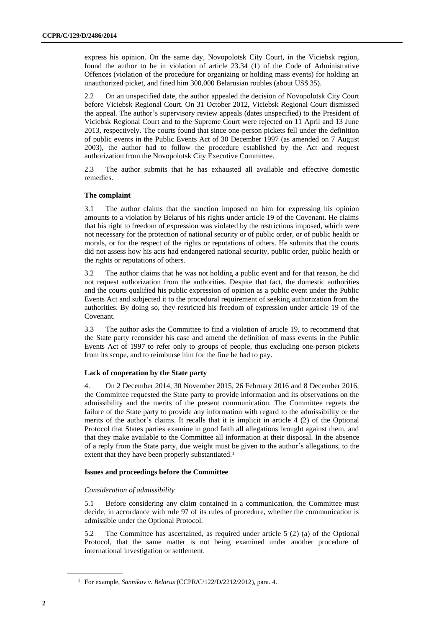express his opinion. On the same day, Novopolotsk City Court, in the Viciebsk region, found the author to be in violation of article 23.34 (1) of the Code of Administrative Offences (violation of the procedure for organizing or holding mass events) for holding an unauthorized picket, and fined him 300,000 Belarusian roubles (about US\$ 35).

2.2 On an unspecified date, the author appealed the decision of Novopolotsk City Court before Viciebsk Regional Court. On 31 October 2012, Viciebsk Regional Court dismissed the appeal. The author's supervisory review appeals (dates unspecified) to the President of Viciebsk Regional Court and to the Supreme Court were rejected on 11 April and 13 June 2013, respectively. The courts found that since one-person pickets fell under the definition of public events in the Public Events Act of 30 December 1997 (as amended on 7 August 2003), the author had to follow the procedure established by the Act and request authorization from the Novopolotsk City Executive Committee.

2.3 The author submits that he has exhausted all available and effective domestic remedies.

#### **The complaint**

3.1 The author claims that the sanction imposed on him for expressing his opinion amounts to a violation by Belarus of his rights under article 19 of the Covenant. He claims that his right to freedom of expression was violated by the restrictions imposed, which were not necessary for the protection of national security or of public order, or of public health or morals, or for the respect of the rights or reputations of others. He submits that the courts did not assess how his acts had endangered national security, public order, public health or the rights or reputations of others.

3.2 The author claims that he was not holding a public event and for that reason, he did not request authorization from the authorities. Despite that fact, the domestic authorities and the courts qualified his public expression of opinion as a public event under the Public Events Act and subjected it to the procedural requirement of seeking authorization from the authorities. By doing so, they restricted his freedom of expression under article 19 of the Covenant.

3.3 The author asks the Committee to find a violation of article 19, to recommend that the State party reconsider his case and amend the definition of mass events in the Public Events Act of 1997 to refer only to groups of people, thus excluding one-person pickets from its scope, and to reimburse him for the fine he had to pay.

### **Lack of cooperation by the State party**

4. On 2 December 2014, 30 November 2015, 26 February 2016 and 8 December 2016, the Committee requested the State party to provide information and its observations on the admissibility and the merits of the present communication. The Committee regrets the failure of the State party to provide any information with regard to the admissibility or the merits of the author's claims. It recalls that it is implicit in article 4 (2) of the Optional Protocol that States parties examine in good faith all allegations brought against them, and that they make available to the Committee all information at their disposal. In the absence of a reply from the State party, due weight must be given to the author's allegations, to the extent that they have been properly substantiated.<sup>1</sup>

#### **Issues and proceedings before the Committee**

#### *Consideration of admissibility*

5.1 Before considering any claim contained in a communication, the Committee must decide, in accordance with rule 97 of its rules of procedure, whether the communication is admissible under the Optional Protocol.

5.2 The Committee has ascertained, as required under article 5 (2) (a) of the Optional Protocol, that the same matter is not being examined under another procedure of international investigation or settlement.

<sup>1</sup> For example, *Sannikov v. Belarus* (CCPR/C/122/D/2212/2012), para. 4.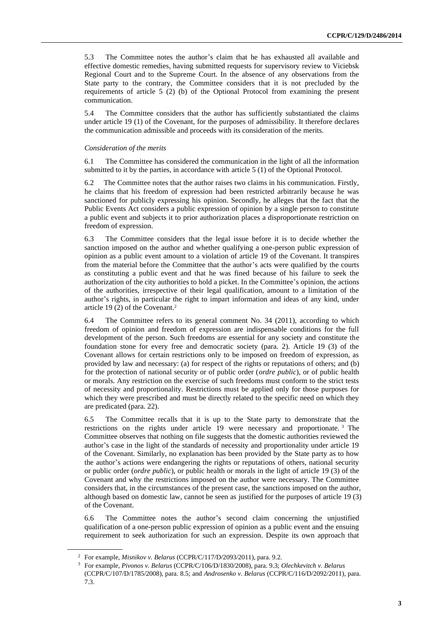5.3 The Committee notes the author's claim that he has exhausted all available and effective domestic remedies, having submitted requests for supervisory review to Viciebsk Regional Court and to the Supreme Court. In the absence of any observations from the State party to the contrary, the Committee considers that it is not precluded by the requirements of article 5 (2) (b) of the Optional Protocol from examining the present communication.

5.4 The Committee considers that the author has sufficiently substantiated the claims under article 19 (1) of the Covenant, for the purposes of admissibility. It therefore declares the communication admissible and proceeds with its consideration of the merits.

#### *Consideration of the merits*

6.1 The Committee has considered the communication in the light of all the information submitted to it by the parties, in accordance with article 5 (1) of the Optional Protocol.

6.2 The Committee notes that the author raises two claims in his communication. Firstly, he claims that his freedom of expression had been restricted arbitrarily because he was sanctioned for publicly expressing his opinion. Secondly, he alleges that the fact that the Public Events Act considers a public expression of opinion by a single person to constitute a public event and subjects it to prior authorization places a disproportionate restriction on freedom of expression.

6.3 The Committee considers that the legal issue before it is to decide whether the sanction imposed on the author and whether qualifying a one-person public expression of opinion as a public event amount to a violation of article 19 of the Covenant. It transpires from the material before the Committee that the author's acts were qualified by the courts as constituting a public event and that he was fined because of his failure to seek the authorization of the city authorities to hold a picket. In the Committee's opinion, the actions of the authorities, irrespective of their legal qualification, amount to a limitation of the author's rights, in particular the right to impart information and ideas of any kind, under article 19 (2) of the Covenant.<sup>2</sup>

6.4 The Committee refers to its general comment No. 34 (2011), according to which freedom of opinion and freedom of expression are indispensable conditions for the full development of the person. Such freedoms are essential for any society and constitute the foundation stone for every free and democratic society (para. 2). Article 19 (3) of the Covenant allows for certain restrictions only to be imposed on freedom of expression, as provided by law and necessary: (a) for respect of the rights or reputations of others; and (b) for the protection of national security or of public order (*ordre public*), or of public health or morals. Any restriction on the exercise of such freedoms must conform to the strict tests of necessity and proportionality. Restrictions must be applied only for those purposes for which they were prescribed and must be directly related to the specific need on which they are predicated (para. 22).

6.5 The Committee recalls that it is up to the State party to demonstrate that the restrictions on the rights under article 19 were necessary and proportionate. <sup>3</sup> The Committee observes that nothing on file suggests that the domestic authorities reviewed the author's case in the light of the standards of necessity and proportionality under article 19 of the Covenant. Similarly, no explanation has been provided by the State party as to how the author's actions were endangering the rights or reputations of others, national security or public order (*ordre public*), or public health or morals in the light of article 19 (3) of the Covenant and why the restrictions imposed on the author were necessary. The Committee considers that, in the circumstances of the present case, the sanctions imposed on the author, although based on domestic law, cannot be seen as justified for the purposes of article 19 (3) of the Covenant.

6.6 The Committee notes the author's second claim concerning the unjustified qualification of a one-person public expression of opinion as a public event and the ensuing requirement to seek authorization for such an expression. Despite its own approach that

<sup>2</sup> For example, *Misnikov v. Belarus* (CCPR/C/117/D/2093/2011), para. 9.2.

<sup>3</sup> For example, *Pivonos v. Belarus* (CCPR/C/106/D/1830/2008), para. 9.3; *Olechkevitch v. Belarus* (CCPR/C/107/D/1785/2008), para. 8.5; and *Androsenko v. Belarus* (CCPR/C/116/D/2092/2011), para. 7.3.